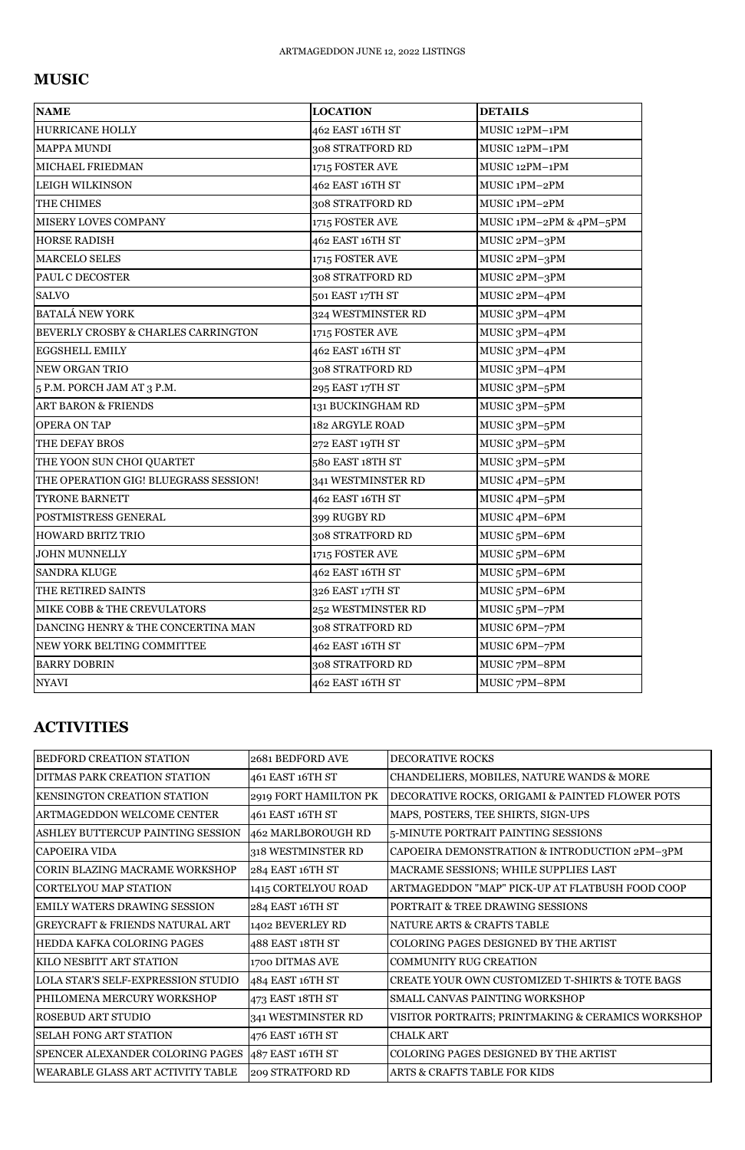## **MUSIC**

| <b>NAME</b>                                    | <b>LOCATION</b>        | <b>DETAILS</b>            |
|------------------------------------------------|------------------------|---------------------------|
| <b>HURRICANE HOLLY</b>                         | 462 EAST 16TH ST       | MUSIC 12PM-1PM            |
| <b>MAPPA MUNDI</b>                             | 308 STRATFORD RD       | MUSIC 12PM-1PM            |
| MICHAEL FRIEDMAN                               | 1715 FOSTER AVE        | MUSIC 12PM-1PM            |
| <b>LEIGH WILKINSON</b>                         | 462 EAST 16TH ST       | MUSIC 1PM-2PM             |
| THE CHIMES                                     | 308 STRATFORD RD       | MUSIC 1PM-2PM             |
| <b>MISERY LOVES COMPANY</b>                    | 1715 FOSTER AVE        | MUSIC 1PM-2PM & 4PM-5PM   |
| <b>HORSE RADISH</b>                            | 462 EAST 16TH ST       | MUSIC 2PM-3PM             |
| <b>MARCELO SELES</b>                           | 1715 FOSTER AVE        | MUSIC 2PM-3PM             |
| <b>PAUL C DECOSTER</b>                         | 308 STRATFORD RD       | MUSIC 2PM-3PM             |
| <b>SALVO</b>                                   | 501 EAST 17TH ST       | MUSIC 2PM-4PM             |
| <b>BATALÁ NEW YORK</b>                         | 324 WESTMINSTER RD     | MUSIC 3PM-4PM             |
| <b>BEVERLY CROSBY &amp; CHARLES CARRINGTON</b> | 1715 FOSTER AVE        | MUSIC 3PM-4PM             |
| <b>EGGSHELL EMILY</b>                          | 462 EAST 16TH ST       | MUSIC 3PM-4PM             |
| <b>NEW ORGAN TRIO</b>                          | 308 STRATFORD RD       | MUSIC 3PM-4PM             |
| 5 P.M. PORCH JAM AT 3 P.M.                     | 295 EAST 17TH ST       | MUSIC 3PM-5PM             |
| <b>ART BARON &amp; FRIENDS</b>                 | 131 BUCKINGHAM RD      | MUSIC 3PM-5PM             |
| <b>OPERA ON TAP</b>                            | <b>182 ARGYLE ROAD</b> | MUSIC 3PM-5PM             |
| THE DEFAY BROS                                 | 272 EAST 19TH ST       | MUSIC 3PM-5PM             |
| THE YOON SUN CHOI QUARTET                      | 580 EAST 18TH ST       | MUSIC 3PM-5PM             |
| THE OPERATION GIG! BLUEGRASS SESSION!          | 341 WESTMINSTER RD     | MUSIC 4PM-5PM             |
| <b>TYRONE BARNETT</b>                          | 462 EAST 16TH ST       | MUSIC 4PM-5PM             |
| POSTMISTRESS GENERAL                           | 399 RUGBY RD           | MUSIC 4PM-6PM             |
| <b>HOWARD BRITZ TRIO</b>                       | 308 STRATFORD RD       | MUSIC <sub>5</sub> PM-6PM |
| <b>JOHN MUNNELLY</b>                           | 1715 FOSTER AVE        | MUSIC <sub>5</sub> PM-6PM |
| <b>SANDRA KLUGE</b>                            | 462 EAST 16TH ST       | MUSIC <sub>5</sub> PM-6PM |
| THE RETIRED SAINTS                             | 326 EAST 17TH ST       | MUSIC <sub>5</sub> PM-6PM |
| MIKE COBB & THE CREVULATORS                    | 252 WESTMINSTER RD     | MUSIC <sub>5</sub> PM-7PM |
| DANCING HENRY & THE CONCERTINA MAN             | 308 STRATFORD RD       | MUSIC 6PM-7PM             |
| NEW YORK BELTING COMMITTEE                     | 462 EAST 16TH ST       | MUSIC 6PM-7PM             |
| <b>BARRY DOBRIN</b>                            | 308 STRATFORD RD       | MUSIC 7PM-8PM             |
| <b>NYAVI</b>                                   | 462 EAST 16TH ST       | MUSIC 7PM-8PM             |

## **ACTIVITIES**

| BEDFORD CREATION STATION                  | 2681 BEDFORD AVE      | <b>DECORATIVE ROCKS</b>                            |
|-------------------------------------------|-----------------------|----------------------------------------------------|
| <b>DITMAS PARK CREATION STATION</b>       | 461 EAST 16TH ST      | CHANDELIERS, MOBILES, NATURE WANDS & MORE          |
| IKENSINGTON CREATION STATION              | 2919 FORT HAMILTON PK | DECORATIVE ROCKS, ORIGAMI & PAINTED FLOWER POTS    |
| <b>ARTMAGEDDON WELCOME CENTER</b>         | 461 EAST 16TH ST      | MAPS, POSTERS, TEE SHIRTS, SIGN-UPS                |
| ASHLEY BUTTERCUP PAINTING SESSION         | 462 MARLBOROUGH RD    | 5-MINUTE PORTRAIT PAINTING SESSIONS                |
| <b>CAPOEIRA VIDA</b>                      | 318 WESTMINSTER RD    | CAPOEIRA DEMONSTRATION & INTRODUCTION 2PM-3PM      |
| <b>CORIN BLAZING MACRAME WORKSHOP</b>     | 284 EAST 16TH ST      | MACRAME SESSIONS; WHILE SUPPLIES LAST              |
| CORTELYOU MAP STATION                     | 1415 CORTELYOU ROAD   | ARTMAGEDDON "MAP" PICK-UP AT FLATBUSH FOOD COOP    |
| IEMILY WATERS DRAWING SESSION             | 284 EAST 16TH ST      | PORTRAIT & TREE DRAWING SESSIONS                   |
| GREYCRAFT & FRIENDS NATURAL ART           | 1402 BEVERLEY RD      | NATURE ARTS & CRAFTS TABLE                         |
| HEDDA KAFKA COLORING PAGES                | 488 EAST 18TH ST      | COLORING PAGES DESIGNED BY THE ARTIST              |
| <b>KILO NESBITT ART STATION</b>           | 1700 DITMAS AVE       | <b>COMMUNITY RUG CREATION</b>                      |
| <b>LOLA STAR'S SELF-EXPRESSION STUDIO</b> | 484 EAST 16TH ST      | CREATE YOUR OWN CUSTOMIZED T-SHIRTS & TOTE BAGS    |
| PHILOMENA MERCURY WORKSHOP                | 473 EAST 18TH ST      | <b>SMALL CANVAS PAINTING WORKSHOP</b>              |
| <b>ROSEBUD ART STUDIO</b>                 | 341 WESTMINSTER RD    | VISITOR PORTRAITS; PRINTMAKING & CERAMICS WORKSHOP |
| <b>SELAH FONG ART STATION</b>             | 476 EAST 16TH ST      | <b>CHALK ART</b>                                   |
| SPENCER ALEXANDER COLORING PAGES          | $487$ EAST 16TH ST    | COLORING PAGES DESIGNED BY THE ARTIST              |
| <b>WEARABLE GLASS ART ACTIVITY TABLE</b>  | 209 STRATFORD RD      | ARTS & CRAFTS TABLE FOR KIDS                       |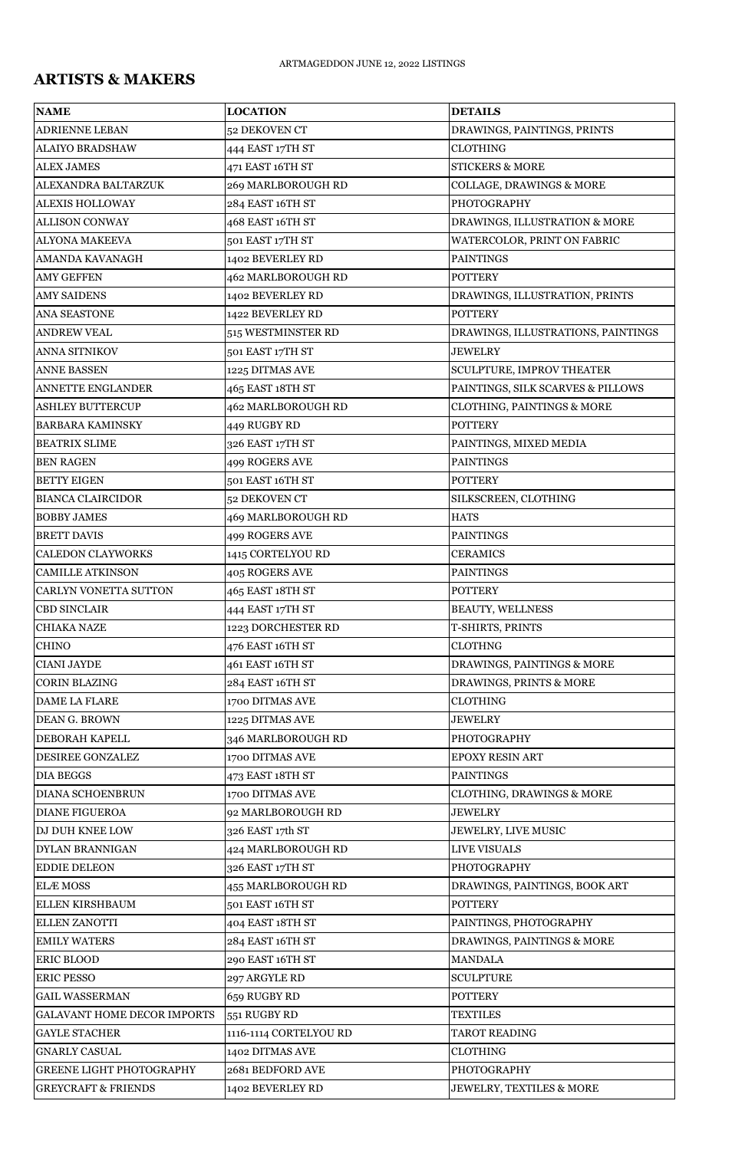## **ARTISTS & MAKERS**

| <b>NAME</b>                        | <b>LOCATION</b>           | <b>DETAILS</b>                        |
|------------------------------------|---------------------------|---------------------------------------|
| <b>ADRIENNE LEBAN</b>              | 52 DEKOVEN CT             | DRAWINGS, PAINTINGS, PRINTS           |
| <b>ALAIYO BRADSHAW</b>             | 444 EAST 17TH ST          | <b>CLOTHING</b>                       |
| <b>ALEX JAMES</b>                  | 471 EAST 16TH ST          | <b>STICKERS &amp; MORE</b>            |
| ALEXANDRA BALTARZUK                | 269 MARLBOROUGH RD        | <b>COLLAGE, DRAWINGS &amp; MORE</b>   |
| <b>ALEXIS HOLLOWAY</b>             | 284 EAST 16TH ST          | <b>PHOTOGRAPHY</b>                    |
| <b>ALLISON CONWAY</b>              | 468 EAST 16TH ST          | DRAWINGS, ILLUSTRATION & MORE         |
| <b>ALYONA MAKEEVA</b>              | 501 EAST 17TH ST          | WATERCOLOR, PRINT ON FABRIC           |
| AMANDA KAVANAGH                    | 1402 BEVERLEY RD          | <b>PAINTINGS</b>                      |
| <b>AMY GEFFEN</b>                  | 462 MARLBOROUGH RD        | <b>POTTERY</b>                        |
| <b>AMY SAIDENS</b>                 | 1402 BEVERLEY RD          | DRAWINGS, ILLUSTRATION, PRINTS        |
| <b>ANA SEASTONE</b>                | 1422 BEVERLEY RD          | <b>POTTERY</b>                        |
| <b>ANDREW VEAL</b>                 | 515 WESTMINSTER RD        | DRAWINGS, ILLUSTRATIONS, PAINTINGS    |
| ANNA SITNIKOV                      | 501 EAST 17TH ST          | <b>JEWELRY</b>                        |
| <b>ANNE BASSEN</b>                 | 1225 DITMAS AVE           | SCULPTURE, IMPROV THEATER             |
| <b>ANNETTE ENGLANDER</b>           | 465 EAST 18TH ST          | PAINTINGS, SILK SCARVES & PILLOWS     |
| <b>ASHLEY BUTTERCUP</b>            | 462 MARLBOROUGH RD        | <b>CLOTHING, PAINTINGS &amp; MORE</b> |
| <b>BARBARA KAMINSKY</b>            | 449 RUGBY RD              | <b>POTTERY</b>                        |
| <b>BEATRIX SLIME</b>               | 326 EAST 17TH ST          | PAINTINGS, MIXED MEDIA                |
| <b>BEN RAGEN</b>                   | 499 ROGERS AVE            | <b>PAINTINGS</b>                      |
| <b>BETTY EIGEN</b>                 | 501 EAST 16TH ST          | <b>POTTERY</b>                        |
| <b>BIANCA CLAIRCIDOR</b>           | 52 DEKOVEN CT             | SILKSCREEN, CLOTHING                  |
| <b>BOBBY JAMES</b>                 | <b>469 MARLBOROUGH RD</b> | <b>HATS</b>                           |
| <b>BRETT DAVIS</b>                 | 499 ROGERS AVE            | <b>PAINTINGS</b>                      |
| <b>CALEDON CLAYWORKS</b>           | 1415 CORTELYOU RD         | <b>CERAMICS</b>                       |
| <b>CAMILLE ATKINSON</b>            | 405 ROGERS AVE            | <b>PAINTINGS</b>                      |
| <b>CARLYN VONETTA SUTTON</b>       | 465 EAST 18TH ST          | <b>POTTERY</b>                        |
| <b>CBD SINCLAIR</b>                | 444 EAST 17TH ST          | <b>BEAUTY, WELLNESS</b>               |
| <b>CHIAKA NAZE</b>                 | 1223 DORCHESTER RD        | T-SHIRTS, PRINTS                      |
| <b>CHINO</b>                       | 476 EAST 16TH ST          | <b>CLOTHNG</b>                        |
| <b>CIANI JAYDE</b>                 | 461 EAST 16TH ST          | DRAWINGS, PAINTINGS & MORE            |
| <b>CORIN BLAZING</b>               | 284 EAST 16TH ST          | DRAWINGS, PRINTS & MORE               |
| <b>DAME LA FLARE</b>               | 1700 DITMAS AVE           | <b>CLOTHING</b>                       |
| <b>DEAN G. BROWN</b>               | 1225 DITMAS AVE           | <b>JEWELRY</b>                        |
| DEBORAH KAPELL                     | 346 MARLBOROUGH RD        | <b>PHOTOGRAPHY</b>                    |
| DESIREE GONZALEZ                   | 1700 DITMAS AVE           | <b>EPOXY RESIN ART</b>                |
| <b>DIA BEGGS</b>                   | 473 EAST 18TH ST          | <b>PAINTINGS</b>                      |
| <b>DIANA SCHOENBRUN</b>            | 1700 DITMAS AVE           | <b>CLOTHING, DRAWINGS &amp; MORE</b>  |
| <b>DIANE FIGUEROA</b>              | 92 MARLBOROUGH RD         | <b>JEWELRY</b>                        |
| DJ DUH KNEE LOW                    | 326 EAST 17th ST          | JEWELRY, LIVE MUSIC                   |
| DYLAN BRANNIGAN                    | 424 MARLBOROUGH RD        | <b>LIVE VISUALS</b>                   |
| <b>EDDIE DELEON</b>                | 326 EAST 17TH ST          | <b>PHOTOGRAPHY</b>                    |
| <b>ELÆ MOSS</b>                    | <b>455 MARLBOROUGH RD</b> | DRAWINGS, PAINTINGS, BOOK ART         |
| ELLEN KIRSHBAUM                    | 501 EAST 16TH ST          | <b>POTTERY</b>                        |
| ELLEN ZANOTTI                      | 404 EAST 18TH ST          | PAINTINGS, PHOTOGRAPHY                |
| <b>EMILY WATERS</b>                | 284 EAST 16TH ST          | DRAWINGS, PAINTINGS & MORE            |
| <b>ERIC BLOOD</b>                  | 290 EAST 16TH ST          | <b>MANDALA</b>                        |
| <b>ERIC PESSO</b>                  | 297 ARGYLE RD             | <b>SCULPTURE</b>                      |
| <b>GAIL WASSERMAN</b>              | 659 RUGBY RD              | <b>POTTERY</b>                        |
| <b>GALAVANT HOME DECOR IMPORTS</b> | 551 RUGBY RD              | <b>TEXTILES</b>                       |
| <b>GAYLE STACHER</b>               | 1116-1114 CORTELYOU RD    | <b>TAROT READING</b>                  |
| <b>GNARLY CASUAL</b>               | 1402 DITMAS AVE           | <b>CLOTHING</b>                       |
| <b>GREENE LIGHT PHOTOGRAPHY</b>    | 2681 BEDFORD AVE          | <b>PHOTOGRAPHY</b>                    |
| <b>GREYCRAFT &amp; FRIENDS</b>     | 1402 BEVERLEY RD          | <b>JEWELRY, TEXTILES &amp; MORE</b>   |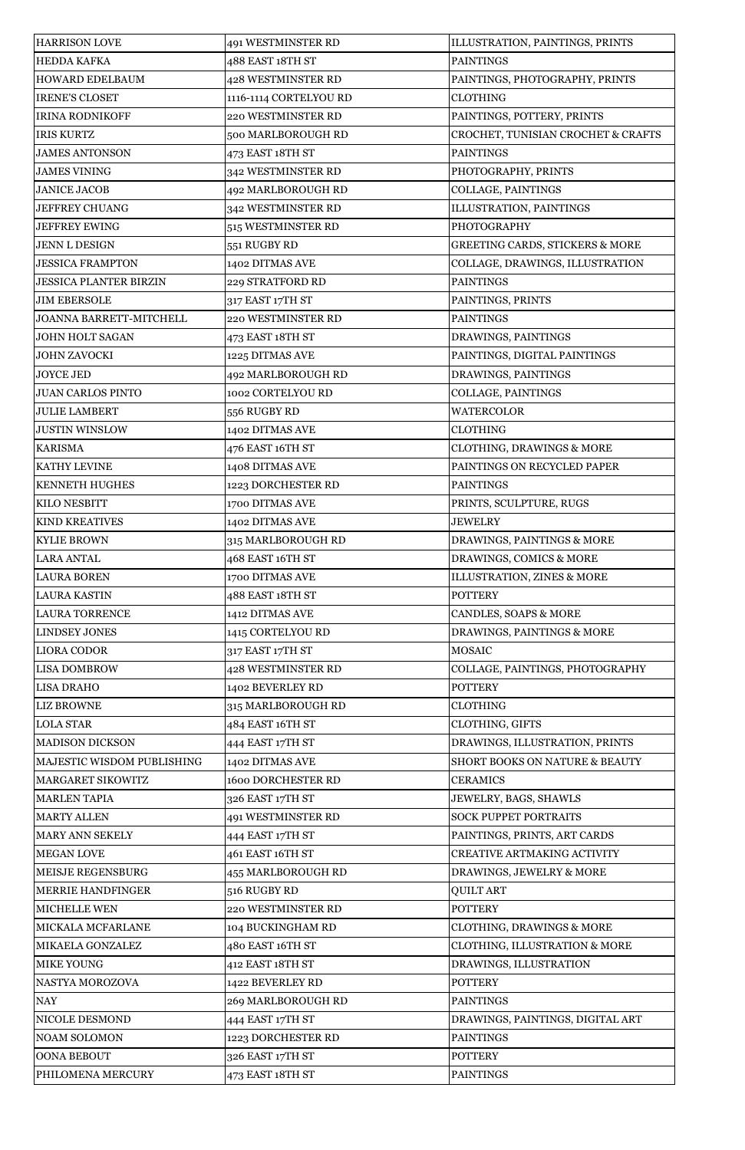| <b>HARRISON LOVE</b>           | 491 WESTMINSTER RD        | ILLUSTRATION, PAINTINGS, PRINTS            |
|--------------------------------|---------------------------|--------------------------------------------|
| <b>HEDDA KAFKA</b>             | 488 EAST 18TH ST          | <b>PAINTINGS</b>                           |
| HOWARD EDELBAUM                | <b>428 WESTMINSTER RD</b> | PAINTINGS, PHOTOGRAPHY, PRINTS             |
| <b>IRENE'S CLOSET</b>          | 1116-1114 CORTELYOU RD    | <b>CLOTHING</b>                            |
| <b>IRINA RODNIKOFF</b>         | 220 WESTMINSTER RD        | PAINTINGS, POTTERY, PRINTS                 |
| <b>IRIS KURTZ</b>              | 500 MARLBOROUGH RD        | CROCHET, TUNISIAN CROCHET & CRAFTS         |
| <b>JAMES ANTONSON</b>          | 473 EAST 18TH ST          | <b>PAINTINGS</b>                           |
| <b>JAMES VINING</b>            | 342 WESTMINSTER RD        | PHOTOGRAPHY, PRINTS                        |
| <b>JANICE JACOB</b>            | 492 MARLBOROUGH RD        | COLLAGE, PAINTINGS                         |
| <b>JEFFREY CHUANG</b>          | 342 WESTMINSTER RD        | ILLUSTRATION, PAINTINGS                    |
| <b>JEFFREY EWING</b>           | 515 WESTMINSTER RD        | <b>PHOTOGRAPHY</b>                         |
| <b>JENN L DESIGN</b>           | 551 RUGBY RD              | <b>GREETING CARDS, STICKERS &amp; MORE</b> |
| <b>JESSICA FRAMPTON</b>        | 1402 DITMAS AVE           | COLLAGE, DRAWINGS, ILLUSTRATION            |
| <b>JESSICA PLANTER BIRZIN</b>  | 229 STRATFORD RD          | <b>PAINTINGS</b>                           |
| <b>JIM EBERSOLE</b>            | 317 EAST 17TH ST          | PAINTINGS, PRINTS                          |
| <b>JOANNA BARRETT-MITCHELL</b> | 220 WESTMINSTER RD        | <b>PAINTINGS</b>                           |
| <b>JOHN HOLT SAGAN</b>         | 473 EAST 18TH ST          | DRAWINGS, PAINTINGS                        |
| <b>JOHN ZAVOCKI</b>            | 1225 DITMAS AVE           | PAINTINGS, DIGITAL PAINTINGS               |
| <b>JOYCE JED</b>               | 492 MARLBOROUGH RD        | DRAWINGS, PAINTINGS                        |
| <b>JUAN CARLOS PINTO</b>       | 1002 CORTELYOU RD         | COLLAGE, PAINTINGS                         |
| <b>JULIE LAMBERT</b>           | 556 RUGBY RD              | <b>WATERCOLOR</b>                          |
| <b>JUSTIN WINSLOW</b>          | 1402 DITMAS AVE           | <b>CLOTHING</b>                            |
| <b>KARISMA</b>                 | 476 EAST 16TH ST          | <b>CLOTHING, DRAWINGS &amp; MORE</b>       |
| KATHY LEVINE                   | 1408 DITMAS AVE           | PAINTINGS ON RECYCLED PAPER                |
| <b>KENNETH HUGHES</b>          | 1223 DORCHESTER RD        | <b>PAINTINGS</b>                           |
| KILO NESBITT                   | 1700 DITMAS AVE           | PRINTS, SCULPTURE, RUGS                    |
| <b>KIND KREATIVES</b>          | 1402 DITMAS AVE           | <b>JEWELRY</b>                             |
| <b>KYLIE BROWN</b>             | 315 MARLBOROUGH RD        | DRAWINGS, PAINTINGS & MORE                 |
| <b>LARA ANTAL</b>              | 468 EAST 16TH ST          | DRAWINGS, COMICS & MORE                    |
| <b>LAURA BOREN</b>             | 1700 DITMAS AVE           | ILLUSTRATION, ZINES & MORE                 |
| <b>LAURA KASTIN</b>            | 488 EAST 18TH ST          | <b>POTTERY</b>                             |
| <b>LAURA TORRENCE</b>          | 1412 DITMAS AVE           | CANDLES, SOAPS & MORE                      |
| <b>LINDSEY JONES</b>           | 1415 CORTELYOU RD         | DRAWINGS, PAINTINGS & MORE                 |
| <b>LIORA CODOR</b>             | 317 EAST 17TH ST          | <b>MOSAIC</b>                              |
| <b>LISA DOMBROW</b>            | 428 WESTMINSTER RD        | COLLAGE, PAINTINGS, PHOTOGRAPHY            |
| <b>LISA DRAHO</b>              | 1402 BEVERLEY RD          | <b>POTTERY</b>                             |
| <b>LIZ BROWNE</b>              |                           | <b>CLOTHING</b>                            |
| <b>LOLA STAR</b>               | 315 MARLBOROUGH RD        |                                            |
|                                | 484 EAST 16TH ST          | CLOTHING, GIFTS                            |
| <b>MADISON DICKSON</b>         | 444 EAST 17TH ST          | DRAWINGS, ILLUSTRATION, PRINTS             |
| MAJESTIC WISDOM PUBLISHING     | 1402 DITMAS AVE           | <b>SHORT BOOKS ON NATURE &amp; BEAUTY</b>  |
| MARGARET SIKOWITZ              | <b>1600 DORCHESTER RD</b> | <b>CERAMICS</b>                            |
| <b>MARLEN TAPIA</b>            | 326 EAST 17TH ST          | JEWELRY, BAGS, SHAWLS                      |
| <b>MARTY ALLEN</b>             | 491 WESTMINSTER RD        | <b>SOCK PUPPET PORTRAITS</b>               |
| MARY ANN SEKELY                | 444 EAST 17TH ST          | PAINTINGS, PRINTS, ART CARDS               |
| <b>MEGAN LOVE</b>              | 461 EAST 16TH ST          | CREATIVE ARTMAKING ACTIVITY                |
| <b>MEISJE REGENSBURG</b>       | 455 MARLBOROUGH RD        | DRAWINGS, JEWELRY & MORE                   |
| <b>MERRIE HANDFINGER</b>       | 516 RUGBY RD              | <b>QUILT ART</b>                           |
| MICHELLE WEN                   | 220 WESTMINSTER RD        | <b>POTTERY</b>                             |
| MICKALA MCFARLANE              | 104 BUCKINGHAM RD         | <b>CLOTHING, DRAWINGS &amp; MORE</b>       |
| MIKAELA GONZALEZ               | 480 EAST 16TH ST          | <b>CLOTHING, ILLUSTRATION &amp; MORE</b>   |
| <b>MIKE YOUNG</b>              | 412 EAST 18TH ST          | DRAWINGS, ILLUSTRATION                     |
| NASTYA MOROZOVA                | 1422 BEVERLEY RD          | <b>POTTERY</b>                             |
| <b>NAY</b>                     | 269 MARLBOROUGH RD        | <b>PAINTINGS</b>                           |
| NICOLE DESMOND                 | 444 EAST 17TH ST          | DRAWINGS, PAINTINGS, DIGITAL ART           |
| <b>NOAM SOLOMON</b>            | 1223 DORCHESTER RD        | <b>PAINTINGS</b>                           |
| <b>OONA BEBOUT</b>             | 326 EAST 17TH ST          | <b>POTTERY</b>                             |
| PHILOMENA MERCURY              | 473 EAST 18TH ST          | <b>PAINTINGS</b>                           |